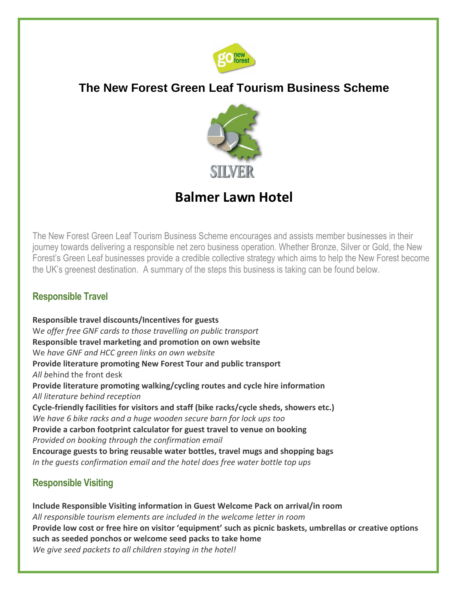

## **The New Forest Green Leaf Tourism Business Scheme**



# **Balmer Lawn Hotel**

The New Forest Green Leaf Tourism Business Scheme encourages and assists member businesses in their journey towards delivering a responsible net zero business operation. Whether Bronze, Silver or Gold, the New Forest's Green Leaf businesses provide a credible collective strategy which aims to help the New Forest become the UK's greenest destination. A summary of the steps this business is taking can be found below.

### **Responsible Travel**

**Responsible travel discounts/Incentives for guests**  W*e offer free GNF cards to those travelling on public transport* **Responsible travel marketing and promotion on own website**  We *have GNF and HCC green links on own website* **Provide literature promoting New Forest Tour and public transport**  *All b*ehind the front desk **Provide literature promoting walking/cycling routes and cycle hire information**  *All literature behind reception* **Cycle-friendly facilities for visitors and staff (bike racks/cycle sheds, showers etc.)**  *W*e *have 6 bike racks and a huge wooden secure barn for lock ups too* **Provide a carbon footprint calculator for guest travel to venue on booking**  *Provided on booking through the confirmation email* **Encourage guests to bring reusable water bottles, travel mugs and shopping bags**  *In the guests confirmation email and the hotel does free water bottle top ups*

### **Responsible Visiting**

**Include Responsible Visiting information in Guest Welcome Pack on arrival/in room**  *All responsible tourism elements are included in the welcome letter in room* **Provide low cost or free hire on visitor 'equipment' such as picnic baskets, umbrellas or creative options such as seeded ponchos or welcome seed packs to take home**  *W*e *give seed packets to all children staying in the hotel!*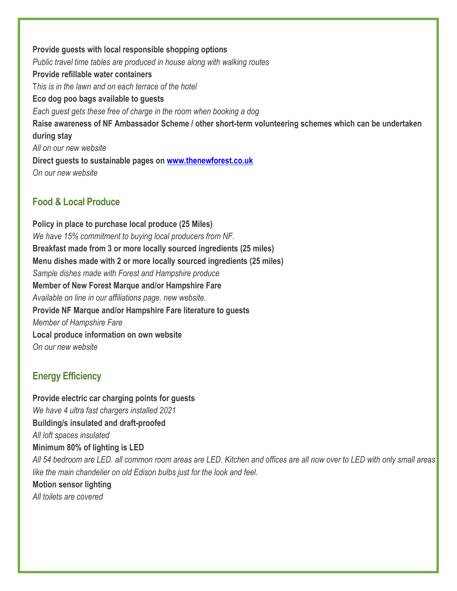**Provide guests with local responsible shopping options** *Public travel time tables are produced in house along with walking routes* **Provide refillable water containers**  T*his is in the lawn and on each terrace of the hotel* **Eco dog poo bags available to guests**  *Each guest gets these free of charge in the room when booking a dog* **Raise awareness of NF Ambassador Scheme / other short-term volunteering schemes which can be undertaken during stay** *All on our new website* **Direct guests to sustainable pages on [www.thenewforest.co.uk](http://www.thenewforest.co.uk/)** *On our new website*

### **Food & Local Produce**

**Policy in place to purchase local produce (25 Miles)** *We have 15% commitment to buying local producers from NF.* **Breakfast made from 3 or more locally sourced ingredients (25 miles) Menu dishes made with 2 or more locally sourced ingredients (25 miles)** *Sample dishes made with Forest and Hampshire produce* **Member of New Forest Marque and/or Hampshire Fare** *Available on line in our affiliations page. new website.* **Provide NF Marque and/or Hampshire Fare literature to guests** *Member of Hampshire Fare* **Local produce information on own website** *On our new website*

### **Energy Efficiency**

**Provide electric car charging points for guests**  *We have 4 ultra fast chargers installed 2021* **Building/s insulated and draft-proofed** *All loft spaces insulated* **Minimum 80% of lighting is LED**  *All 54 bedroom are LED. all common room areas are LED. Kitchen and offices are all now over to LED with only small areas like the main chandelier on old Edison bulbs just for the look and feel.* **Motion sensor lighting** *All toilets are covered*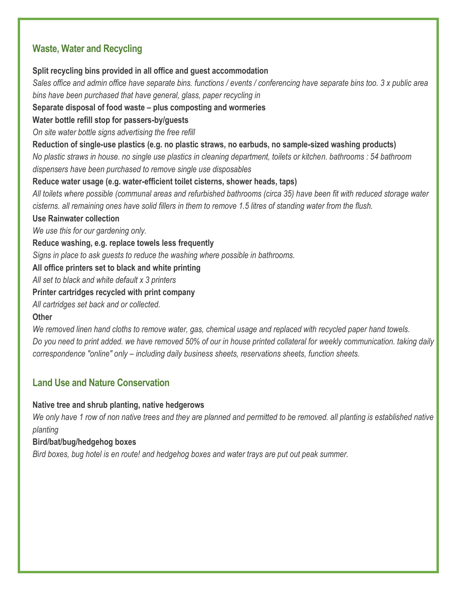### **Waste, Water and Recycling**

**Split recycling bins provided in all office and guest accommodation** 

*Sales office and admin office have separate bins. functions / events / conferencing have separate bins too. 3 x public area bins have been purchased that have general, glass, paper recycling in*

**Separate disposal of food waste – plus composting and wormeries** 

**Water bottle refill stop for passers-by/guests** 

*On site water bottle signs advertising the free refill*

**Reduction of single-use plastics (e.g. no plastic straws, no earbuds, no sample-sized washing products)** 

*No plastic straws in house. no single use plastics in cleaning department, toilets or kitchen. bathrooms : 54 bathroom dispensers have been purchased to remove single use disposables*

**Reduce water usage (e.g. water-efficient toilet cisterns, shower heads, taps)** 

*All toilets where possible (communal areas and refurbished bathrooms (circa 35) have been fit with reduced storage water cisterns. all remaining ones have solid fillers in them to remove 1.5 litres of standing water from the flush.*

**Use Rainwater collection** 

*We use this for our gardening only.*

**Reduce washing, e.g. replace towels less frequently** 

*Signs in place to ask guests to reduce the washing where possible in bathrooms.*

**All office printers set to black and white printing** 

*All set to black and white default x 3 printers*

**Printer cartridges recycled with print company** 

*All cartridges set back and or collected.*

#### **Other**

*We removed linen hand cloths to remove water, gas, chemical usage and replaced with recycled paper hand towels. Do you need to print added. we have removed 50% of our in house printed collateral for weekly communication. taking daily correspondence "online" only – including daily business sheets, reservations sheets, function sheets.*

### **Land Use and Nature Conservation**

#### **Native tree and shrub planting, native hedgerows**

*We only have 1 row of non native trees and they are planned and permitted to be removed. all planting is established native planting*

#### **Bird/bat/bug/hedgehog boxes**

*B*i*rd boxes, bug hotel is en route! and hedgehog boxes and water trays are put out peak summer.*